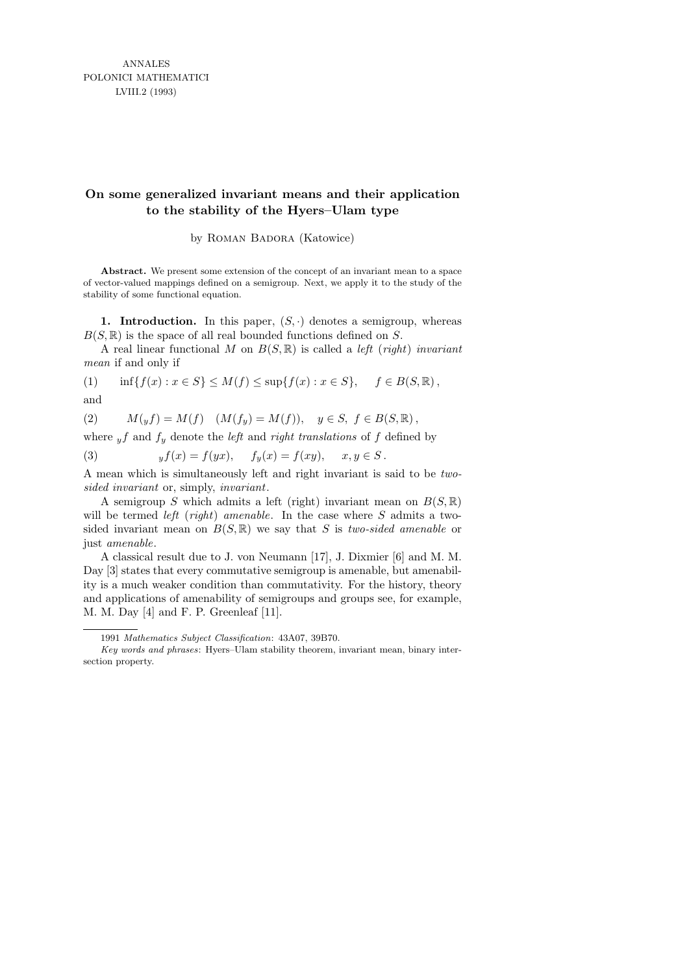## **On some generalized invariant means and their application to the stability of the Hyers–Ulam type**

by ROMAN BADORA (Katowice)

**Abstract.** We present some extension of the concept of an invariant mean to a space of vector-valued mappings defined on a semigroup. Next, we apply it to the study of the stability of some functional equation.

1. Introduction. In this paper,  $(S, \cdot)$  denotes a semigroup, whereas  $B(S, \mathbb{R})$  is the space of all real bounded functions defined on S.

A real linear functional M on  $B(S, \mathbb{R})$  is called a *left* (*right*) invariant mean if and only if

(1) 
$$
\inf\{f(x) : x \in S\} \le M(f) \le \sup\{f(x) : x \in S\}, \quad f \in B(S, \mathbb{R}),
$$

and

(2)  $M(yf) = M(f)$   $(M(f_y) = M(f)), y \in S, f \in B(S, \mathbb{R}),$ 

where  $y f$  and  $f y$  denote the *left* and *right translations* of f defined by

(3) 
$$
yf(x) = f(yx), \quad f_y(x) = f(xy), \quad x, y \in S.
$$

A mean which is simultaneously left and right invariant is said to be twosided invariant or, simply, invariant.

A semigroup S which admits a left (right) invariant mean on  $B(S, \mathbb{R})$ will be termed *left* (*right*) amenable. In the case where  $S$  admits a twosided invariant mean on  $B(S, \mathbb{R})$  we say that S is two-sided amenable or just amenable.

A classical result due to J. von Neumann [17], J. Dixmier [6] and M. M. Day [3] states that every commutative semigroup is amenable, but amenability is a much weaker condition than commutativity. For the history, theory and applications of amenability of semigroups and groups see, for example, M. M. Day [4] and F. P. Greenleaf [11].

<sup>1991</sup> *Mathematics Subject Classification*: 43A07, 39B70.

*Key words and phrases*: Hyers–Ulam stability theorem, invariant mean, binary intersection property.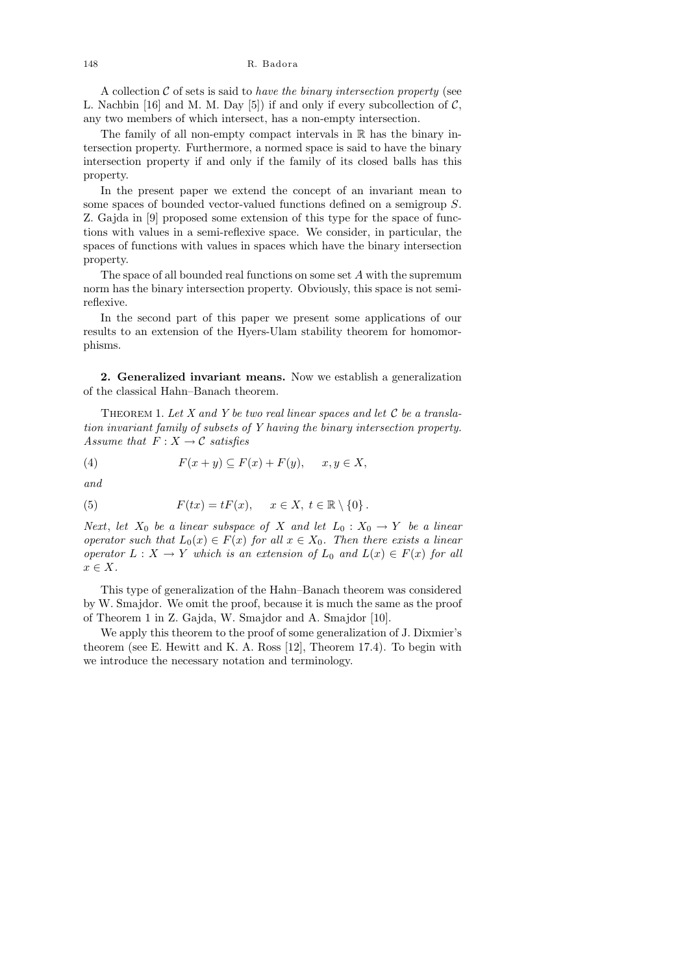A collection  $\mathcal C$  of sets is said to have the binary intersection property (see L. Nachbin [16] and M. M. Day [5]) if and only if every subcollection of  $\mathcal{C}$ , any two members of which intersect, has a non-empty intersection.

The family of all non-empty compact intervals in  $\mathbb R$  has the binary intersection property. Furthermore, a normed space is said to have the binary intersection property if and only if the family of its closed balls has this property.

In the present paper we extend the concept of an invariant mean to some spaces of bounded vector-valued functions defined on a semigroup S. Z. Gajda in [9] proposed some extension of this type for the space of functions with values in a semi-reflexive space. We consider, in particular, the spaces of functions with values in spaces which have the binary intersection property.

The space of all bounded real functions on some set A with the supremum norm has the binary intersection property. Obviously, this space is not semireflexive.

In the second part of this paper we present some applications of our results to an extension of the Hyers-Ulam stability theorem for homomorphisms.

2. Generalized invariant means. Now we establish a generalization of the classical Hahn–Banach theorem.

THEOREM 1. Let X and Y be two real linear spaces and let  $\mathcal C$  be a translation invariant family of subsets of Y having the binary intersection property. Assume that  $F: X \to \mathcal{C}$  satisfies

(4) 
$$
F(x + y) \subseteq F(x) + F(y), \quad x, y \in X,
$$

and

(5) 
$$
F(tx) = tF(x), \quad x \in X, t \in \mathbb{R} \setminus \{0\}.
$$

Next, let  $X_0$  be a linear subspace of X and let  $L_0: X_0 \to Y$  be a linear operator such that  $L_0(x) \in F(x)$  for all  $x \in X_0$ . Then there exists a linear operator  $L: X \to Y$  which is an extension of  $L_0$  and  $L(x) \in F(x)$  for all  $x \in X$ .

This type of generalization of the Hahn–Banach theorem was considered by W. Smajdor. We omit the proof, because it is much the same as the proof of Theorem 1 in Z. Gajda, W. Smajdor and A. Smajdor [10].

We apply this theorem to the proof of some generalization of J. Dixmier's theorem (see E. Hewitt and K. A. Ross [12], Theorem 17.4). To begin with we introduce the necessary notation and terminology.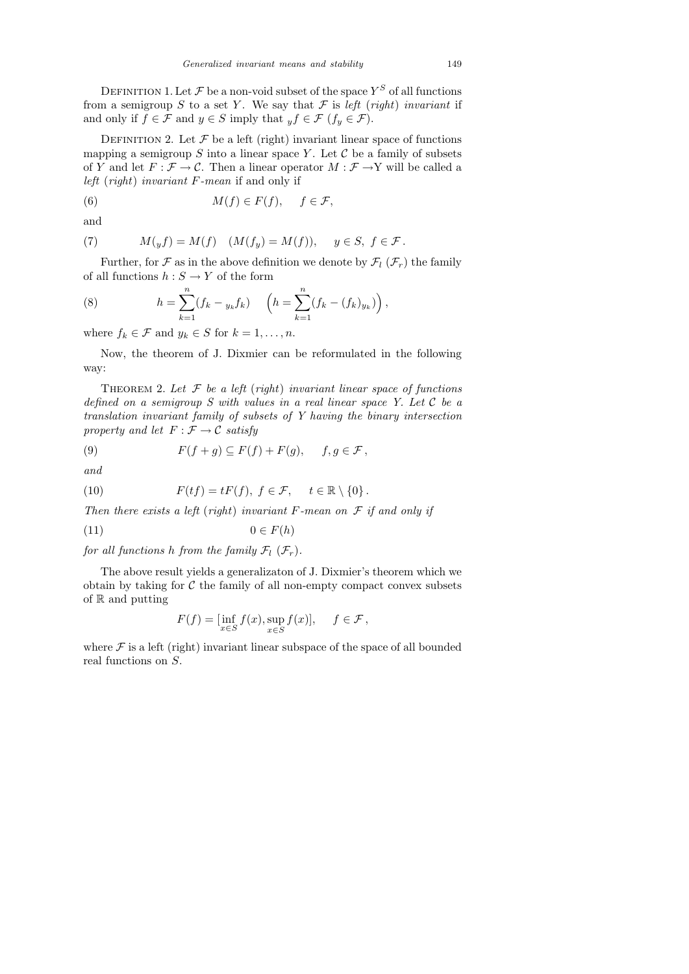DEFINITION 1. Let  $\mathcal F$  be a non-void subset of the space  $Y^S$  of all functions from a semigroup S to a set Y. We say that F is left (right) invariant if and only if  $f \in \mathcal{F}$  and  $y \in S$  imply that  $y f \in \mathcal{F}$   $(f_y \in \mathcal{F})$ .

DEFINITION 2. Let  $\mathcal F$  be a left (right) invariant linear space of functions mapping a semigroup S into a linear space Y. Let  $\mathcal C$  be a family of subsets of Y and let  $F : \mathcal{F} \to \mathcal{C}$ . Then a linear operator  $M : \mathcal{F} \to Y$  will be called a left (right) invariant F-mean if and only if

(6) 
$$
M(f) \in F(f), \quad f \in \mathcal{F},
$$

and

(7) 
$$
M(yf) = M(f) \quad (M(f_y) = M(f)), \quad y \in S, \ f \in \mathcal{F}.
$$

Further, for  $\mathcal F$  as in the above definition we denote by  $\mathcal F_l$  ( $\mathcal F_r$ ) the family of all functions  $h: S \to Y$  of the form

(8) 
$$
h = \sum_{k=1}^{n} (f_k - y_k f_k) \quad \left( h = \sum_{k=1}^{n} (f_k - (f_k) y_k) \right),
$$

where  $f_k \in \mathcal{F}$  and  $y_k \in S$  for  $k = 1, \ldots, n$ .

Now, the theorem of J. Dixmier can be reformulated in the following way:

THEOREM 2. Let  $F$  be a left (right) invariant linear space of functions defined on a semigroup  $S$  with values in a real linear space Y. Let  $C$  be a translation invariant family of subsets of Y having the binary intersection property and let  $F : \mathcal{F} \to \mathcal{C}$  satisfy

(9) 
$$
F(f+g) \subseteq F(f) + F(g), \quad f, g \in \mathcal{F},
$$

and

(10) 
$$
F(tf) = tF(f), \ f \in \mathcal{F}, \quad t \in \mathbb{R} \setminus \{0\}.
$$

Then there exists a left (right) invariant F-mean on  $\mathcal F$  if and only if

$$
(11) \t\t 0 \in F(h)
$$

for all functions h from the family  $\mathcal{F}_l$  ( $\mathcal{F}_r$ ).

The above result yields a generalizaton of J. Dixmier's theorem which we obtain by taking for  $C$  the family of all non-empty compact convex subsets of  $\mathbb R$  and putting

$$
F(f) = \left[\inf_{x \in S} f(x), \sup_{x \in S} f(x)\right], \quad f \in \mathcal{F},
$$

where  $\mathcal F$  is a left (right) invariant linear subspace of the space of all bounded real functions on S.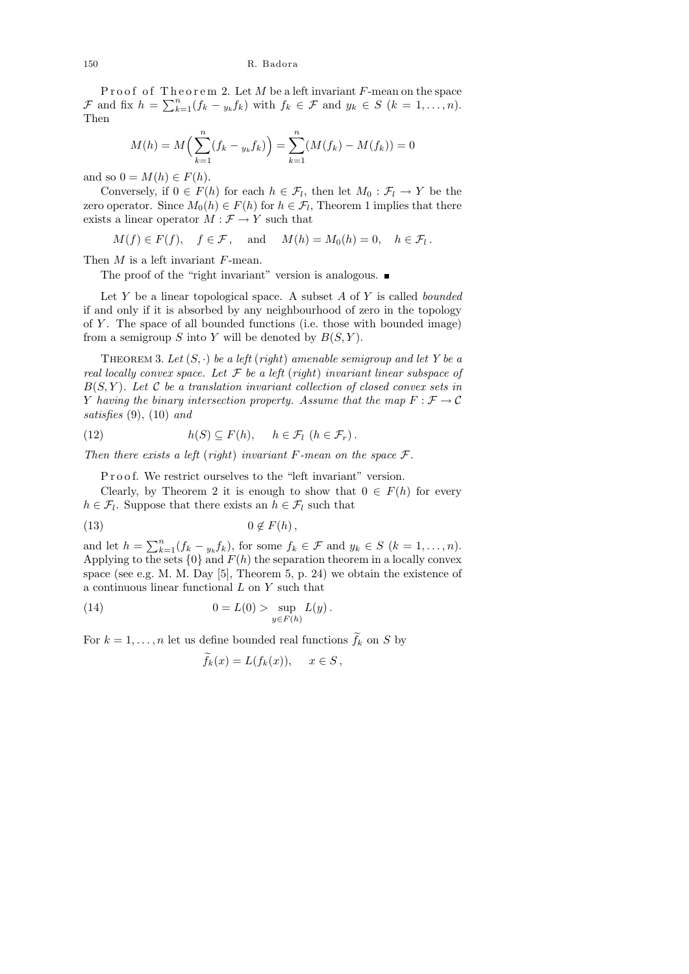Proof of Theorem 2. Let  $M$  be a left invariant  $F$ -mean on the space F and fix  $h = \sum_{k=1}^{n} (f_k - g_k f_k)$  with  $f_k \in \mathcal{F}$  and  $y_k \in S$   $(k = 1, ..., n)$ . Then

$$
M(h) = M\left(\sum_{k=1}^{n} (f_k - y_k f_k)\right) = \sum_{k=1}^{n} (M(f_k) - M(f_k)) = 0
$$

and so  $0 = M(h) \in F(h)$ .

Conversely, if  $0 \in F(h)$  for each  $h \in \mathcal{F}_l$ , then let  $M_0 : \mathcal{F}_l \to Y$  be the zero operator. Since  $M_0(h) \in F(h)$  for  $h \in \mathcal{F}_l$ , Theorem 1 implies that there exists a linear operator  $M:\mathcal{F}\rightarrow Y$  such that

$$
M(f) \in F(f)
$$
,  $f \in \mathcal{F}$ , and  $M(h) = M_0(h) = 0$ ,  $h \in \mathcal{F}_l$ .

Then  $M$  is a left invariant  $F$ -mean.

The proof of the "right invariant" version is analogous.

Let  $Y$  be a linear topological space. A subset  $A$  of  $Y$  is called bounded if and only if it is absorbed by any neighbourhood of zero in the topology of Y . The space of all bounded functions (i.e. those with bounded image) from a semigroup S into Y will be denoted by  $B(S, Y)$ .

THEOREM 3. Let  $(S, \cdot)$  be a left (right) amenable semigroup and let Y be a real locally convex space. Let  $\mathcal F$  be a left (right) invariant linear subspace of  $B(S, Y)$ . Let C be a translation invariant collection of closed convex sets in Y having the binary intersection property. Assume that the map  $F : \mathcal{F} \to \mathcal{C}$ satisfies (9), (10) and

(12) 
$$
h(S) \subseteq F(h), \quad h \in \mathcal{F}_l \ (h \in \mathcal{F}_r).
$$

Then there exists a left (right) invariant F-mean on the space  $\mathcal{F}.$ 

P r o o f. We restrict ourselves to the "left invariant" version.

Clearly, by Theorem 2 it is enough to show that  $0 \in F(h)$  for every  $h \in \mathcal{F}_l$ . Suppose that there exists an  $h \in \mathcal{F}_l$  such that

$$
(13) \t 0 \notin F(h),
$$

and let  $h = \sum_{k=1}^{n} (f_k - y_k f_k)$ , for some  $f_k \in \mathcal{F}$  and  $y_k \in S$   $(k = 1, ..., n)$ . Applying to the sets  $\{0\}$  and  $F(h)$  the separation theorem in a locally convex space (see e.g. M. M. Day [5], Theorem 5, p. 24) we obtain the existence of a continuous linear functional  $L$  on  $Y$  such that

(14) 
$$
0 = L(0) > \sup_{y \in F(h)} L(y).
$$

For  $k = 1, ..., n$  let us define bounded real functions  $f_k$  on S by

$$
\widetilde{f}_k(x) = L(f_k(x)), \quad x \in S,
$$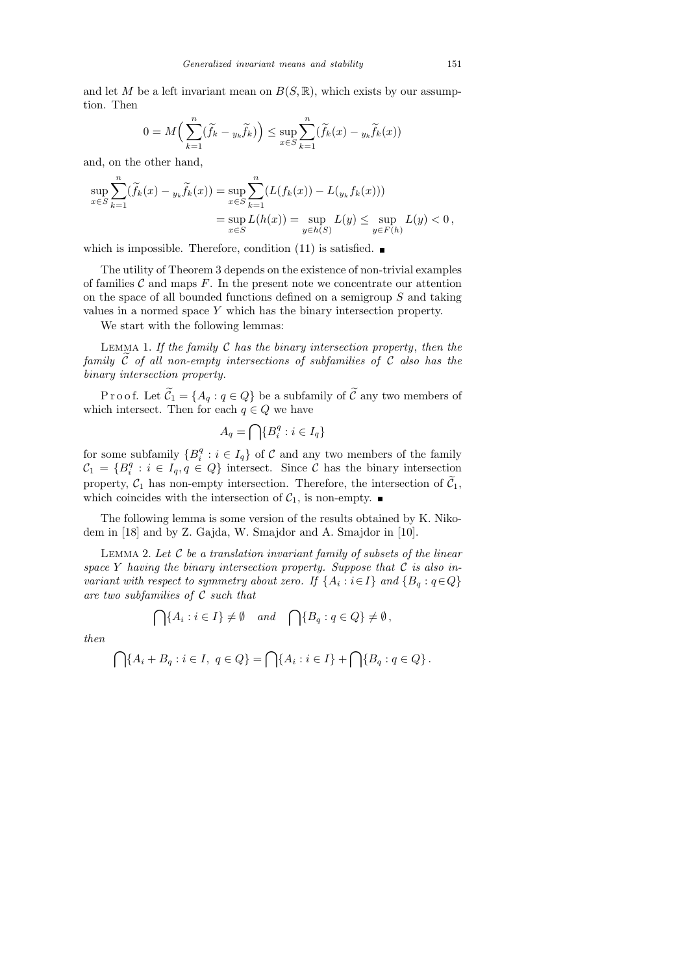$$
0 = M\left(\sum_{k=1}^{n} (\widetilde{f}_k - y_k \widetilde{f}_k)\right) \le \sup_{x \in S} \sum_{k=1}^{n} (\widetilde{f}_k(x) - y_k \widetilde{f}_k(x))
$$

and, on the other hand,

$$
\sup_{x \in S} \sum_{k=1}^{n} (\widetilde{f}_k(x) - y_k \widetilde{f}_k(x)) = \sup_{x \in S} \sum_{k=1}^{n} (L(f_k(x)) - L(y_k f_k(x)))
$$
  
= 
$$
\sup_{x \in S} L(h(x)) = \sup_{y \in h(S)} L(y) \le \sup_{y \in F(h)} L(y) < 0,
$$

which is impossible. Therefore, condition  $(11)$  is satisfied.

The utility of Theorem 3 depends on the existence of non-trivial examples of families  $\mathcal C$  and maps  $F$ . In the present note we concentrate our attention on the space of all bounded functions defined on a semigroup S and taking values in a normed space Y which has the binary intersection property.

We start with the following lemmas:

LEMMA 1. If the family  $C$  has the binary intersection property, then the family  $\tilde{C}$  of all non-empty intersections of subfamilies of C also has the binary intersection property.

P r o o f. Let  $\widetilde{\mathcal{C}}_1 = \{A_q : q \in Q\}$  be a subfamily of  $\widetilde{\mathcal{C}}$  any two members of which intersect. Then for each  $q \in Q$  we have

$$
A_q = \bigcap \{ B_i^q : i \in I_q \}
$$

for some subfamily  $\{B_i^q\}$  $i_i^q : i \in I_q$  of C and any two members of the family  $\mathcal{C}_1 = \{B_i^q\}$  $i : i \in I_q, q \in Q$  intersect. Since C has the binary intersection property,  $C_1$  has non-empty intersection. Therefore, the intersection of  $C_1$ , which coincides with the intersection of  $C_1$ , is non-empty.

The following lemma is some version of the results obtained by K. Nikodem in [18] and by Z. Gajda, W. Smajdor and A. Smajdor in [10].

LEMMA 2. Let  $C$  be a translation invariant family of subsets of the linear space Y having the binary intersection property. Suppose that  $\mathcal C$  is also invariant with respect to symmetry about zero. If  $\{A_i : i \in I\}$  and  $\{B_q : q \in Q\}$ are two subfamilies of  $C$  such that

$$
\bigcap \{A_i : i \in I\} \neq \emptyset \quad and \quad \bigcap \{B_q : q \in Q\} \neq \emptyset,
$$

then

$$
\bigcap \{A_i + B_q : i \in I, \ q \in Q\} = \bigcap \{A_i : i \in I\} + \bigcap \{B_q : q \in Q\}.
$$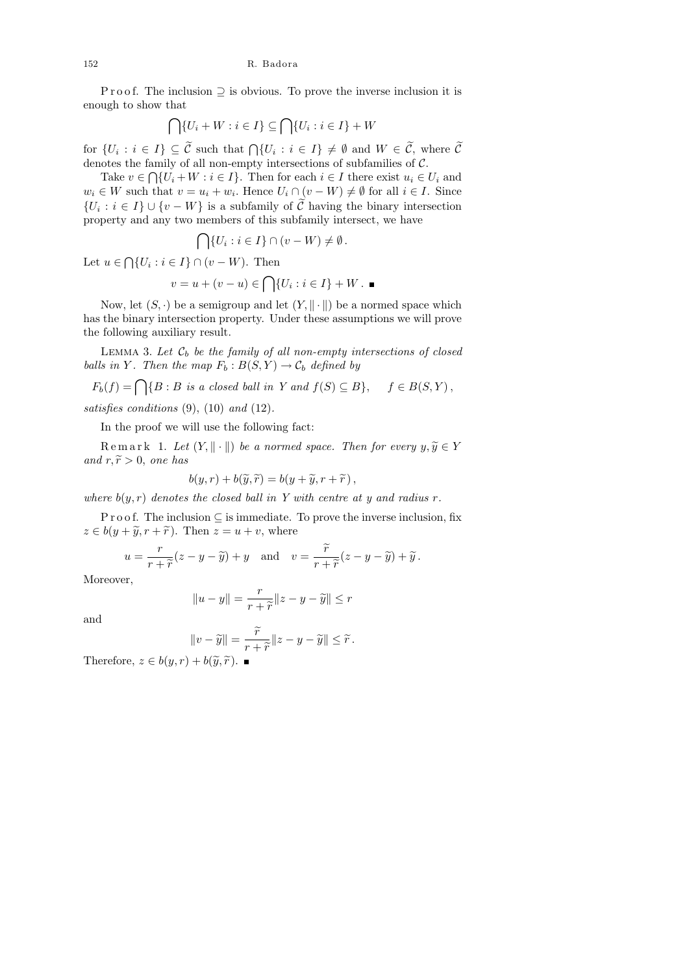P r o o f. The inclusion  $\supseteq$  is obvious. To prove the inverse inclusion it is enough to show that

$$
\bigcap \{U_i+W:i\in I\}\subseteq \bigcap \{U_i:i\in I\}+W
$$

for  $\{U_i : i \in I\} \subseteq \mathcal{C}$  such that  $\bigcap \{U_i : i \in I\} \neq \emptyset$  and  $W \in \mathcal{C}$ , where  $\mathcal{C}$ denotes the family of all non-empty intersections of subfamilies of  $C$ .

Take  $v \in \bigcap \{U_i + W : i \in I\}$ . Then for each  $i \in I$  there exist  $u_i \in U_i$  and  $w_i \in W$  such that  $v = u_i + w_i$ . Hence  $U_i \cap (v - W) \neq \emptyset$  for all  $i \in I$ . Since  $\{U_i : i \in I\} \cup \{v - W\}$  is a subfamily of C having the binary intersection property and any two members of this subfamily intersect, we have

$$
\bigcap \{U_i : i \in I\} \cap (v - W) \neq \emptyset.
$$

Let  $u \in \bigcap \{U_i : i \in I\} \cap (v - W)$ . Then

$$
v = u + (v - u) \in \bigcap \{U_i : i \in I\} + W.
$$

Now, let  $(S, \cdot)$  be a semigroup and let  $(Y, \|\cdot\|)$  be a normed space which has the binary intersection property. Under these assumptions we will prove the following auxiliary result.

LEMMA 3. Let  $C_b$  be the family of all non-empty intersections of closed balls in Y. Then the map  $F_b : B(S, Y) \to C_b$  defined by

$$
F_b(f) = \bigcap \{ B : B \text{ is a closed ball in } Y \text{ and } f(S) \subseteq B \}, \quad f \in B(S, Y),
$$

satisfies conditions (9), (10) and (12).

In the proof we will use the following fact:

Remark 1. Let  $(Y, \|\cdot\|)$  be a normed space. Then for every  $y, \tilde{y} \in Y$ and  $r, \widetilde{r} > 0$ , one has

$$
b(y,r) + b(\widetilde{y},\widetilde{r}) = b(y+\widetilde{y},r+\widetilde{r}),
$$

where  $b(y, r)$  denotes the closed ball in Y with centre at y and radius r.

P r o o f. The inclusion  $\subseteq$  is immediate. To prove the inverse inclusion, fix  $z \in b(y + \widetilde{y}, r + \widetilde{r})$ . Then  $z = u + v$ , where

$$
u = \frac{r}{r + \widetilde{r}}(z - y - \widetilde{y}) + y \quad \text{and} \quad v = \frac{\widetilde{r}}{r + \widetilde{r}}(z - y - \widetilde{y}) + \widetilde{y}.
$$

Moreover,

$$
||u - y|| = \frac{r}{r + \widetilde{r}} ||z - y - \widetilde{y}|| \le r
$$

and

$$
||v - \widetilde{y}|| = \frac{\widetilde{r}}{r + \widetilde{r}} ||z - y - \widetilde{y}|| \leq \widetilde{r}.
$$

Therefore,  $z \in b(y, r) + b(\tilde{y}, \tilde{r})$ .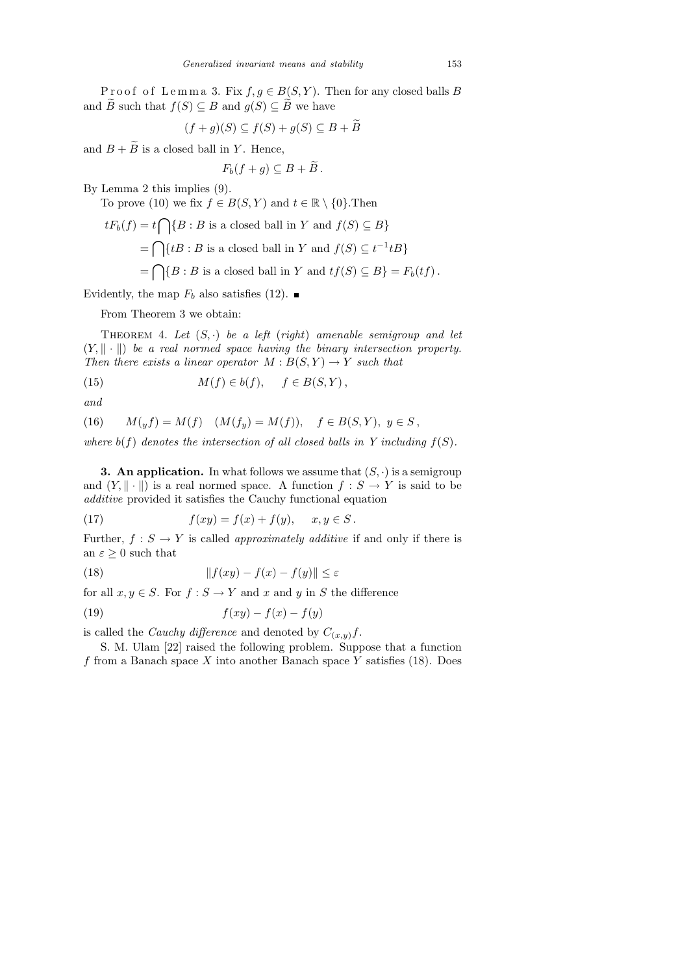P r o o f o f L e m m a 3. Fix  $f, g \in B(S, Y)$ . Then for any closed balls B and  $\widetilde{B}$  such that  $f(S) \subseteq B$  and  $g(S) \subseteq \widetilde{B}$  we have

$$
(f+g)(S) \subseteq f(S) + g(S) \subseteq B + B
$$

and  $B + \widetilde{B}$  is a closed ball in Y. Hence,

$$
F_b(f+g)\subseteq B+\tilde{B}.
$$

By Lemma 2 this implies (9).

To prove (10) we fix  $f \in B(S, Y)$  and  $t \in \mathbb{R} \setminus \{0\}$ . Then

$$
tF_b(f) = t \bigcap \{ B : B \text{ is a closed ball in } Y \text{ and } f(S) \subseteq B \}
$$
  
= 
$$
\bigcap \{ tB : B \text{ is a closed ball in } Y \text{ and } f(S) \subseteq t^{-1}tB \}
$$
  
= 
$$
\bigcap \{ B : B \text{ is a closed ball in } Y \text{ and } tf(S) \subseteq B \} = F_b(tf).
$$

Evidently, the map  $F_b$  also satisfies (12).

From Theorem 3 we obtain:

THEOREM 4. Let  $(S, \cdot)$  be a left (right) amenable semigroup and let  $(Y, \|\cdot\|)$  be a real normed space having the binary intersection property. Then there exists a linear operator  $M : B(S, Y) \to Y$  such that

(15) 
$$
M(f) \in b(f), \quad f \in B(S, Y),
$$

and

(16) 
$$
M(yf) = M(f) \quad (M(f_y) = M(f)), \quad f \in B(S, Y), \ y \in S,
$$

where  $b(f)$  denotes the intersection of all closed balls in Y including  $f(S)$ .

**3. An application.** In what follows we assume that  $(S, \cdot)$  is a semigroup and  $(Y, \| \cdot \|)$  is a real normed space. A function  $f : S \to Y$  is said to be additive provided it satisfies the Cauchy functional equation

(17) 
$$
f(xy) = f(x) + f(y), \quad x, y \in S.
$$

Further,  $f : S \to Y$  is called *approximately additive* if and only if there is an  $\varepsilon \geq 0$  such that

(18) 
$$
||f(xy) - f(x) - f(y)|| \le \varepsilon
$$

for all  $x, y \in S$ . For  $f : S \to Y$  and x and y in S the difference

$$
(19) \t\t f(xy) - f(x) - f(y)
$$

is called the *Cauchy difference* and denoted by  $C_{(x,y)}f$ .

S. M. Ulam [22] raised the following problem. Suppose that a function f from a Banach space  $X$  into another Banach space  $Y$  satisfies (18). Does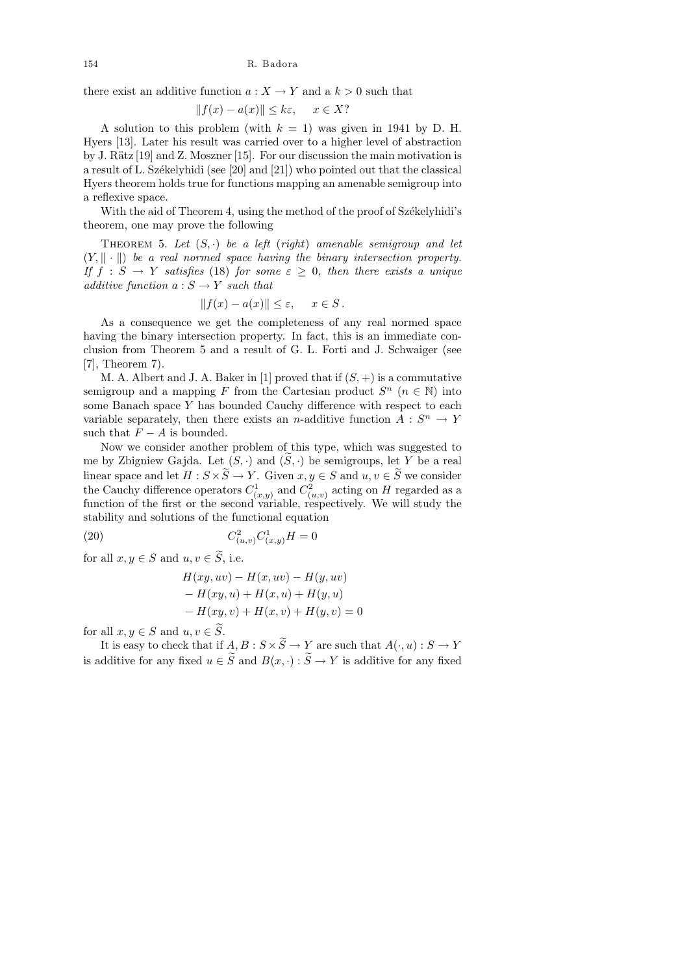there exist an additive function  $a: X \to Y$  and  $a k > 0$  such that

$$
||f(x) - a(x)|| \le k\varepsilon, \quad x \in X?
$$

A solution to this problem (with  $k = 1$ ) was given in 1941 by D. H. Hyers [13]. Later his result was carried over to a higher level of abstraction by J. Rätz  $[19]$  and Z. Moszner  $[15]$ . For our discussion the main motivation is a result of L. Székelyhidi (see [20] and [21]) who pointed out that the classical Hyers theorem holds true for functions mapping an amenable semigroup into a reflexive space.

With the aid of Theorem 4, using the method of the proof of Székelyhidi's theorem, one may prove the following

THEOREM 5. Let  $(S, \cdot)$  be a left (right) amenable semigroup and let  $(Y, \| \cdot \|)$  be a real normed space having the binary intersection property. If  $f : S \to Y$  satisfies (18) for some  $\varepsilon \geq 0$ , then there exists a unique additive function  $a: S \to Y$  such that

$$
||f(x) - a(x)|| \le \varepsilon, \quad x \in S.
$$

As a consequence we get the completeness of any real normed space having the binary intersection property. In fact, this is an immediate conclusion from Theorem 5 and a result of G. L. Forti and J. Schwaiger (see [7], Theorem 7).

M. A. Albert and J. A. Baker in [1] proved that if  $(S, +)$  is a commutative semigroup and a mapping F from the Cartesian product  $S<sup>n</sup>$  ( $n \in \mathbb{N}$ ) into some Banach space Y has bounded Cauchy difference with respect to each variable separately, then there exists an *n*-additive function  $A: S^n \to Y$ such that  $F - A$  is bounded.

Now we consider another problem of this type, which was suggested to me by Zbigniew Gajda. Let  $(S, \cdot)$  and  $(S, \cdot)$  be semigroups, let Y be a real linear space and let  $H : S \times \widetilde{S} \to Y$ . Given  $x, y \in S$  and  $u, v \in \widetilde{S}$  we consider the Cauchy difference operators  $C^1_{(x,y)}$  and  $C^2_{(u,v)}$  acting on H regarded as a function of the first or the second variable, respectively. We will study the stability and solutions of the functional equation

(20) 
$$
C_{(u,v)}^2 C_{(x,y)}^1 H = 0
$$

for all  $x, y \in S$  and  $u, v \in \widetilde{S}$ , i.e.

$$
H(xy, uv) - H(x, uv) - H(y, uv)
$$
  
- 
$$
H(xy, u) + H(x, u) + H(y, u)
$$
  
- 
$$
H(xy, v) + H(x, v) + H(y, v) = 0
$$

for all  $x, y \in S$  and  $u, v \in \widetilde{S}$ .

It is easy to check that if  $A,B:S\times \widetilde{S}\rightarrow Y$  are such that  $A(\cdot,u):S\rightarrow Y$ is additive for any fixed  $u \in \widetilde{S}$  and  $B(x, \cdot) : \widetilde{S} \to Y$  is additive for any fixed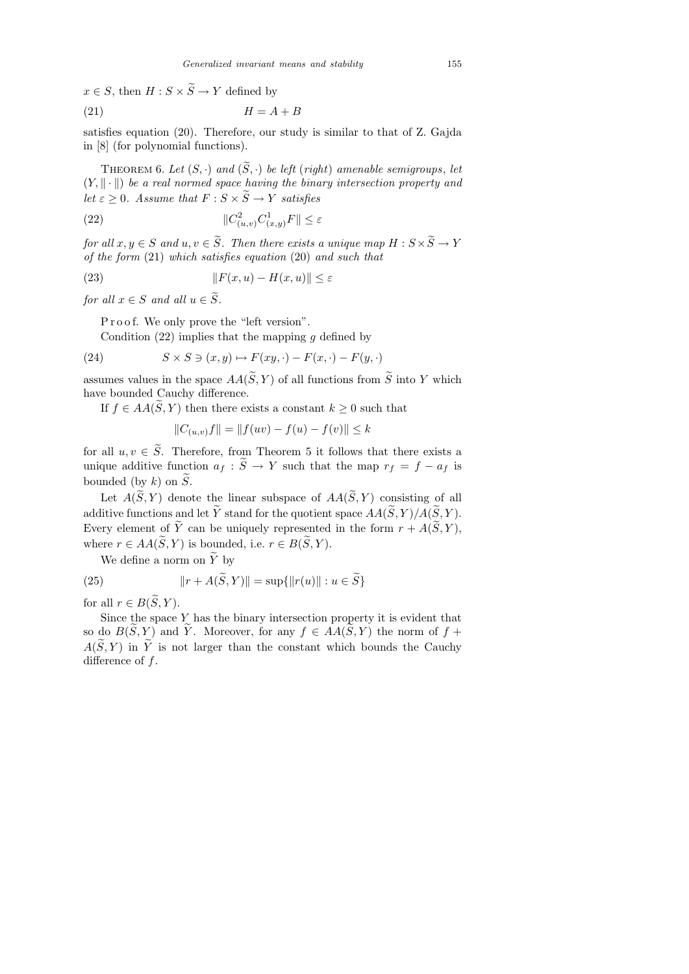$x \in S$ , then  $H : S \times \widetilde{S} \to Y$  defined by

$$
(21) \t\t\t H = A + B
$$

satisfies equation (20). Therefore, our study is similar to that of Z. Gajda in [8] (for polynomial functions).

THEOREM 6. Let  $(S, \cdot)$  and  $(\widetilde{S}, \cdot)$  be left (right) amenable semigroups, let  $(Y, \|\cdot\|)$  be a real normed space having the binary intersection property and let  $\varepsilon > 0$ . Assume that  $F : S \times \widetilde{S} \to Y$  satisfies

(22) 
$$
\|C_{(u,v)}^2 C_{(x,y)}^1 F\| \le \varepsilon
$$

for all  $x, y \in S$  and  $u, v \in \widetilde{S}$ . Then there exists a unique map  $H : S \times \widetilde{S} \to Y$ of the form (21) which satisfies equation (20) and such that

(23) 
$$
||F(x, u) - H(x, u)|| \le \varepsilon
$$

for all  $x \in S$  and all  $u \in \widetilde{S}$ .

P r o o f. We only prove the "left version".

Condition  $(22)$  implies that the mapping g defined by

(24) 
$$
S \times S \ni (x, y) \mapsto F(xy, \cdot) - F(x, \cdot) - F(y, \cdot)
$$

assumes values in the space  $AA(\widetilde{S}, Y)$  of all functions from  $\widetilde{S}$  into Y which have bounded Cauchy difference.

If  $f \in AA(\widetilde{S}, Y)$  then there exists a constant  $k \geq 0$  such that

$$
||C_{(u,v)}f|| = ||f(uv) - f(u) - f(v)|| \le k
$$

for all  $u, v \in \tilde{S}$ . Therefore, from Theorem 5 it follows that there exists a unique additive function  $a_f : \widetilde{S} \to Y$  such that the map  $r_f = f - a_f$  is bounded (by  $k$ ) on  $\tilde{S}$ .

Let  $A(\widetilde{S}, Y)$  denote the linear subspace of  $AA(\widetilde{S}, Y)$  consisting of all additive functions and let  $\widetilde{Y}$  stand for the quotient space  $AA(\widetilde{S}, Y)/A(\widetilde{S}, Y)$ . Every element of  $\widetilde{Y}$  can be uniquely represented in the form  $r + A(\widetilde{S}, Y)$ , where  $r \in AA(\widetilde{S}, Y)$  is bounded, i.e.  $r \in B(\widetilde{S}, Y)$ .

We define a norm on  $\widetilde{Y}$  by

(25) 
$$
||r + A(\widetilde{S}, Y)|| = \sup{||r(u)|| : u \in \widetilde{S}\}
$$

for all  $r \in B(\widetilde{S}, Y)$ .

Since the space  $Y$  has the binary intersection property it is evident that so do  $B(\widetilde{S}, Y)$  and  $\widetilde{Y}$ . Moreover, for any  $f \in AA(\widetilde{S}, Y)$  the norm of  $f +$  $A(\widetilde{S}, Y)$  in  $\widetilde{Y}$  is not larger than the constant which bounds the Cauchy difference of  $f$ .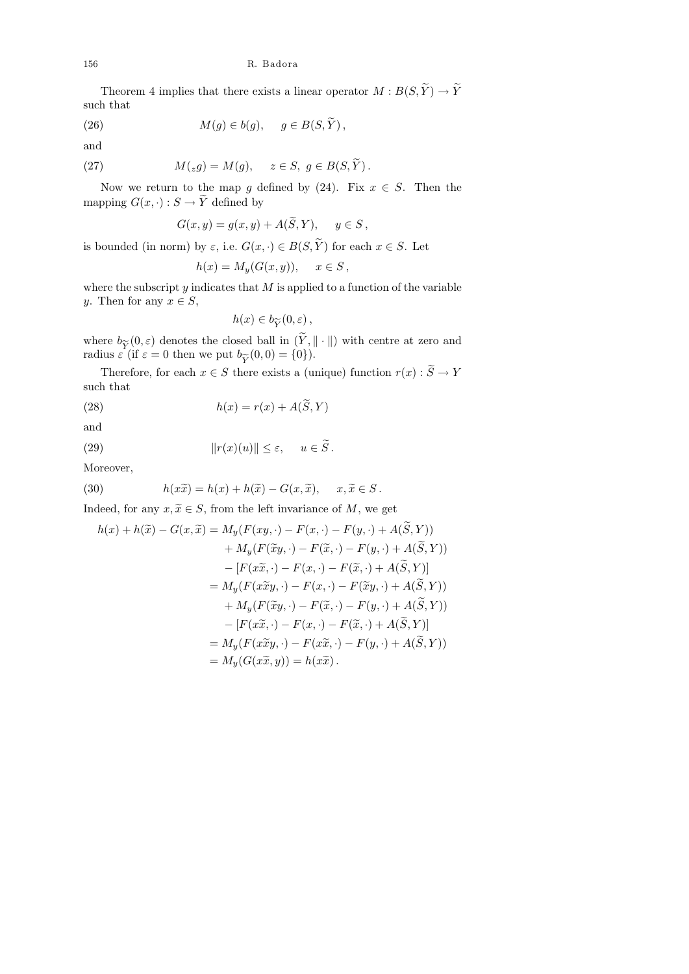Theorem 4 implies that there exists a linear operator  $M: B(S,\widetilde Y)\rightarrow \widetilde Y$ such that

(26) 
$$
M(g) \in b(g), \quad g \in B(S, \widetilde{Y}),
$$

and

(27) 
$$
M(zg) = M(g), \quad z \in S, g \in B(S, \widetilde{Y}).
$$

Now we return to the map q defined by (24). Fix  $x \in S$ . Then the mapping  $G(x, \cdot) : S \to \widetilde{Y}$  defined by

$$
G(x, y) = g(x, y) + A(\widetilde{S}, Y), \quad y \in S,
$$

is bounded (in norm) by  $\varepsilon$ , i.e.  $G(x, \cdot) \in B(S, \tilde{Y})$  for each  $x \in S$ . Let

$$
h(x) = M_y(G(x, y)), \quad x \in S,
$$

where the subscript  $y$  indicates that  $M$  is applied to a function of the variable y. Then for any  $x \in S$ ,

$$
h(x) \in b_{\widetilde{Y}}(0, \varepsilon),
$$

where  $b_{\widetilde{Y}}(0,\varepsilon)$  denotes the closed ball in  $(Y, \|\cdot\|)$  with centre at zero and radius  $\varepsilon$  (if  $\varepsilon = 0$  then we put  $b_{\widetilde{Y}}(0,0) = \{0\}$ ). radius  $\varepsilon$  (if  $\varepsilon = 0$  then we put  $b_{\widetilde{\mathbf{v}}}(0,0) = \{0\}$ ).

 $\frac{Y}{2}$ Therefore, for each  $x \in S$  there exists a (unique) function  $r(x) : S \to Y$ such that

(28) 
$$
h(x) = r(x) + A(\widetilde{S}, Y)
$$

and

(29) 
$$
||r(x)(u)|| \leq \varepsilon, \quad u \in \widetilde{S}.
$$

Moreover,

(30) 
$$
h(x\tilde{x}) = h(x) + h(\tilde{x}) - G(x, \tilde{x}), \quad x, \tilde{x} \in S.
$$

Indeed, for any  $x, \tilde{x} \in S$ , from the left invariance of M, we get

$$
h(x) + h(\widetilde{x}) - G(x, \widetilde{x}) = M_y(F(xy, \cdot) - F(x, \cdot) - F(y, \cdot) + A(S, Y))
$$
  
+ 
$$
M_y(F(\widetilde{x}y, \cdot) - F(\widetilde{x}, \cdot) - F(y, \cdot) + A(\widetilde{S}, Y))
$$
  
- 
$$
[F(x\widetilde{x}, \cdot) - F(x, \cdot) - F(\widetilde{x}, \cdot) + A(\widetilde{S}, Y)]
$$
  
= 
$$
M_y(F(x\widetilde{x}y, \cdot) - F(x, \cdot) - F(\widetilde{x}y, \cdot) + A(\widetilde{S}, Y))
$$
  
+ 
$$
M_y(F(\widetilde{x}y, \cdot) - F(\widetilde{x}, \cdot) - F(y, \cdot) + A(\widetilde{S}, Y))
$$
  
- 
$$
[F(x\widetilde{x}, \cdot) - F(x, \cdot) - F(\widetilde{x}, \cdot) + A(\widetilde{S}, Y)]
$$
  
= 
$$
M_y(F(x\widetilde{x}y, \cdot) - F(x\widetilde{x}, \cdot) - F(y, \cdot) + A(\widetilde{S}, Y))
$$
  
= 
$$
M_y(G(x\widetilde{x}, y)) = h(x\widetilde{x}).
$$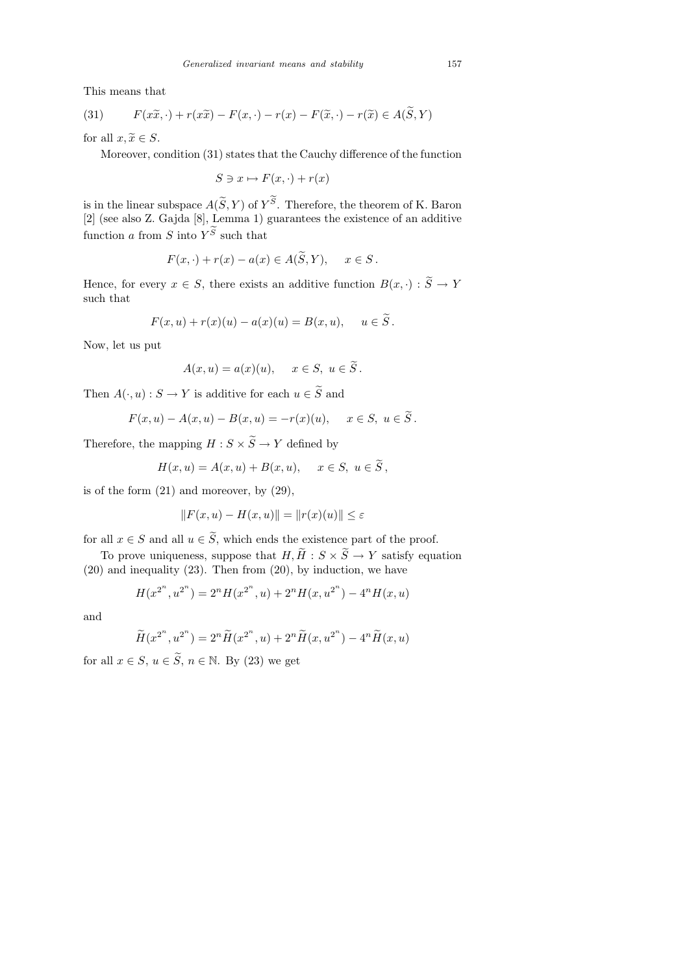This means that

(31) 
$$
F(x\widetilde{x},\cdot) + r(x\widetilde{x}) - F(x,\cdot) - r(x) - F(\widetilde{x},\cdot) - r(\widetilde{x}) \in A(\widetilde{S},Y)
$$

for all  $x, \tilde{x} \in S$ .

Moreover, condition (31) states that the Cauchy difference of the function

$$
S \ni x \mapsto F(x, \cdot) + r(x)
$$

is in the linear subspace  $A(S, Y)$  of  $Y^S$ . Therefore, the theorem of K. Baron [2] (see also Z. Gajda [8], Lemma 1) guarantees the existence of an additive function a from S into  $Y^S$  such that

$$
F(x, \cdot) + r(x) - a(x) \in A(\widetilde{S}, Y), \quad x \in S.
$$

Hence, for every  $x \in S$ , there exists an additive function  $B(x, \cdot) : \widetilde{S} \to Y$ such that

$$
F(x, u) + r(x)(u) - a(x)(u) = B(x, u), \quad u \in S.
$$

Now, let us put

$$
A(x, u) = a(x)(u), \quad x \in S, u \in S.
$$

Then  $A(\cdot, u) : S \to Y$  is additive for each  $u \in \widetilde{S}$  and

$$
F(x, u) - A(x, u) - B(x, u) = -r(x)(u), \quad x \in S, u \in \widetilde{S}.
$$

Therefore, the mapping  $H : S \times \widetilde{S} \to Y$  defined by

$$
H(x, u) = A(x, u) + B(x, u), \quad x \in S, u \in \widetilde{S},
$$

is of the form  $(21)$  and moreover, by  $(29)$ ,

$$
||F(x, u) - H(x, u)|| = ||r(x)(u)|| \le \varepsilon
$$

for all  $x \in S$  and all  $u \in \widetilde{S}$ , which ends the existence part of the proof.

To prove uniqueness, suppose that  $H, \widetilde{H} : S \times \widetilde{S} \to Y$  satisfy equation  $(20)$  and inequality  $(23)$ . Then from  $(20)$ , by induction, we have

$$
H(x^{2^n}, u^{2^n}) = 2^n H(x^{2^n}, u) + 2^n H(x, u^{2^n}) - 4^n H(x, u)
$$

and

$$
\widetilde{H}(x^{2^n}, u^{2^n}) = 2^n \widetilde{H}(x^{2^n}, u) + 2^n \widetilde{H}(x, u^{2^n}) - 4^n \widetilde{H}(x, u)
$$

for all  $x \in S$ ,  $u \in \tilde{S}$ ,  $n \in \mathbb{N}$ . By (23) we get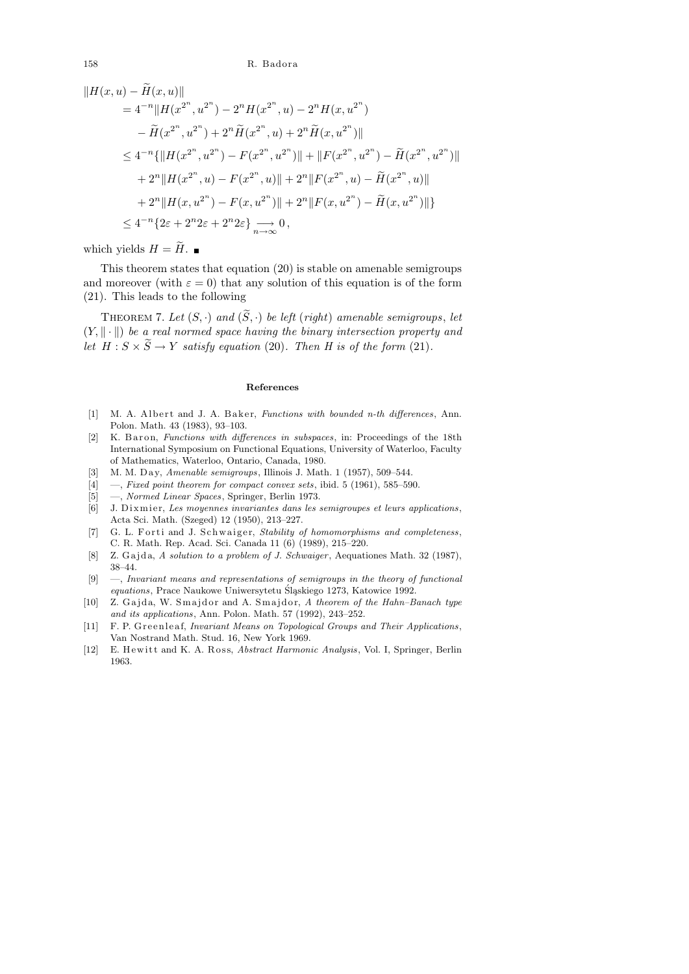$$
||H(x, u) - H(x, u)||
$$
  
\n
$$
= 4^{-n}||H(x^{2^n}, u^{2^n}) - 2^n H(x^{2^n}, u) - 2^n H(x, u^{2^n})
$$
  
\n
$$
- \widetilde{H}(x^{2^n}, u^{2^n}) + 2^n \widetilde{H}(x^{2^n}, u) + 2^n \widetilde{H}(x, u^{2^n})||
$$
  
\n
$$
\leq 4^{-n} \{ ||H(x^{2^n}, u^{2^n}) - F(x^{2^n}, u^{2^n})|| + ||F(x^{2^n}, u^{2^n}) - \widetilde{H}(x^{2^n}, u^{2^n})||
$$
  
\n
$$
+ 2^n ||H(x^{2^n}, u) - F(x^{2^n}, u)|| + 2^n ||F(x^{2^n}, u) - \widetilde{H}(x^{2^n}, u)||
$$
  
\n
$$
+ 2^n ||H(x, u^{2^n}) - F(x, u^{2^n})|| + 2^n ||F(x, u^{2^n}) - \widetilde{H}(x, u^{2^n})|| \}
$$
  
\n
$$
\leq 4^{-n} \{2\varepsilon + 2^n 2\varepsilon + 2^n 2\varepsilon\} \underset{n \to \infty}{\longrightarrow} 0,
$$

which yields  $H = \widetilde{H}$ .

This theorem states that equation (20) is stable on amenable semigroups and moreover (with  $\varepsilon = 0$ ) that any solution of this equation is of the form (21). This leads to the following

THEOREM 7. Let  $(S, \cdot)$  and  $(\widetilde{S}, \cdot)$  be left (right) amenable semigroups, let  $(Y, \|\cdot\|)$  be a real normed space having the binary intersection property and let  $H : S \times \widetilde{S} \to Y$  satisfy equation (20). Then H is of the form (21).

## **References**

- [1] M. A. Albert and J. A. Baker, *Functions with bounded n-th differences*, Ann. Polon. Math. 43 (1983), 93–103.
- [2] K. B a ron, *Functions with differences in subspaces*, in: Proceedings of the 18th International Symposium on Functional Equations, University of Waterloo, Faculty of Mathematics, Waterloo, Ontario, Canada, 1980.
- [3] M. M. D a y, *Amenable semigroups*, Illinois J. Math. 1 (1957), 509–544.
- [4] —, *Fixed point theorem for compact convex sets*, ibid. 5 (1961), 585–590.
- [5] —, *Normed Linear Spaces*, Springer, Berlin 1973.
- [6] J. Dixmier, *Les moyennes invariantes dans les semigroupes et leurs applications*, Acta Sci. Math. (Szeged) 12 (1950), 213–227.
- [7] G. L. Forti and J. Schwaiger, *Stability of homomorphisms and completeness*, C. R. Math. Rep. Acad. Sci. Canada 11 (6) (1989), 215–220.
- [8] Z. Gajda, *A solution to a problem of J. Schwaiger*, Aequationes Math. 32 (1987), 38–44.
- [9] —, *Invariant means and representations of semigroups in the theory of functional equations*, Prace Naukowe Uniwersytetu Śląskiego 1273, Katowice 1992.
- [10] Z. Gajda, W. Smajdor and A. Smajdor, A theorem of the Hahn–Banach type *and its applications*, Ann. Polon. Math. 57 (1992), 243–252.
- [11] F. P. Greenleaf, *Invariant Means on Topological Groups and Their Applications*, Van Nostrand Math. Stud. 16, New York 1969.
- [12] E. Hewitt and K. A. Ross, *Abstract Harmonic Analysis*, Vol. I, Springer, Berlin 1963.